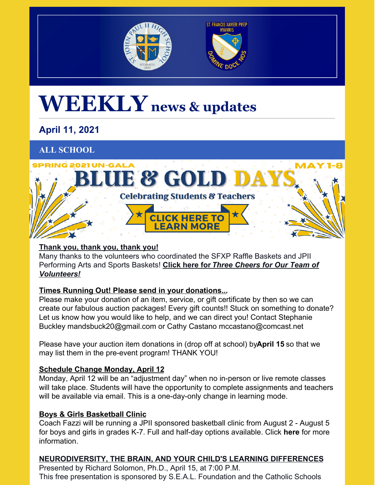



# **WEEKLY news & updates**

# **April 11, 2021**

# **ALL SCHOOL**



# **Thank you, thank you, thank you!**

Many thanks to the volunteers who coordinated the SFXP Raffle Baskets and JPII Performing Arts and Sports Baskets! **[Click](https://sjp2hs.org/wp-content/uploads/2021/04/Auctioneer-3-Good.pdf) here for** *Three Cheers for Our Team of [Volunteers!](https://sjp2hs.org/wp-content/uploads/2021/04/Auctioneer-3-Good.pdf)*

# **Times Running Out! Please send in your donations...**

Please make your donation of an item, service, or gift certificate by then so we can create our fabulous auction packages! Every gift counts!! Stuck on something to donate? Let us know how you would like to help, and we can direct you! Contact Stephanie Buckley mandsbuck20@gmail.com or Cathy Castano mccastano@comcast.net

Please have your auction item donations in (drop off at school) by**April 15** so that we may list them in the pre-event program! THANK YOU!

# **Schedule Change Monday, April 12**

Monday, April 12 will be an "adjustment day" when no in-person or live remote classes will take place. Students will have the opportunity to complete assignments and teachers will be available via email. This is a one-day-only change in learning mode.

# **Boys & Girls Basketball Clinic**

Coach Fazzi will be running a JPII sponsored basketball clinic from August 2 - August 5 for boys and girls in grades K-7. Full and half-day options available. Click **[here](https://pjp2hs.ejoinme.org/MyPages/BasketballClinic)** for more information.

# **NEURODIVERSITY, THE BRAIN, AND YOUR CHILD'S LEARNING DIFFERENCES**

Presented by Richard Solomon, Ph.D., April 15, at 7:00 P.M. This free presentation is sponsored by S.E.A.L. Foundation and the Catholic Schools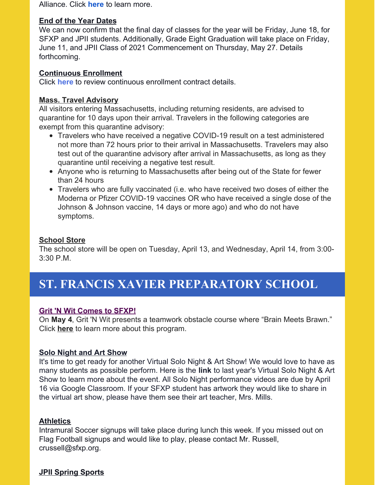Alliance. Click **[here](https://mailchi.mp/0a653f347126/guidance-for-communicating-vaccination-information-to-all-school-personnel-18758612?e=99108232ce)** to learn more.

#### **End of the Year Dates**

We can now confirm that the final day of classes for the year will be Friday, June 18, for SFXP and JPII students. Additionally, Grade Eight Graduation will take place on Friday, June 11, and JPII Class of 2021 Commencement on Thursday, May 27. Details forthcoming.

#### **Continuous Enrollment**

Click **[here](https://sjp2hs.org/wp-content/uploads/2021/03/Continuous-Enrollment-Reminder.pdf)** to review continuous enrollment contract details.

## **Mass. Travel Advisory**

All visitors entering Massachusetts, including returning residents, are advised to quarantine for 10 days upon their arrival. Travelers in the following categories are exempt from this quarantine advisory:

- Travelers who have received a negative COVID-19 result on a test administered not more than 72 hours prior to their arrival in Massachusetts. Travelers may also test out of the quarantine advisory after arrival in Massachusetts, as long as they quarantine until receiving a negative test result.
- Anyone who is returning to Massachusetts after being out of the State for fewer than 24 hours
- Travelers who are fully vaccinated (i.e. who have received two doses of either the Moderna or Pfizer COVID-19 vaccines OR who have received a single dose of the Johnson & Johnson vaccine, 14 days or more ago) and who do not have symptoms.

## **School Store**

The school store will be open on Tuesday, April 13, and Wednesday, April 14, from 3:00- 3:30 P.M.

# **ST. FRANCIS XAVIER PREPARATORY SCHOOL**

## **Grit 'N Wit Comes to SFXP!**

On **May 4**, Grit 'N Wit presents a teamwork obstacle course where "Brain Meets Brawn." Click **[here](https://youtu.be/UOJmmpmoJRc)** to learn more about this program.

## **Solo Night and Art Show**

It's time to get ready for another Virtual Solo Night & Art Show! We would love to have as many students as possible perform. Here is the **[link](https://sites.google.com/view/sfxpevents/solo-night-and-art-show)** to last year's Virtual Solo Night & Art Show to learn more about the event. All Solo Night performance videos are due by April 16 via Google Classroom. If your SFXP student has artwork they would like to share in the virtual art show, please have them see their art teacher, Mrs. Mills.

#### **Athletics**

Intramural Soccer signups will take place during lunch this week. If you missed out on Flag Football signups and would like to play, please contact Mr. Russell, crussell@sfxp.org.

## **JPII Spring Sports**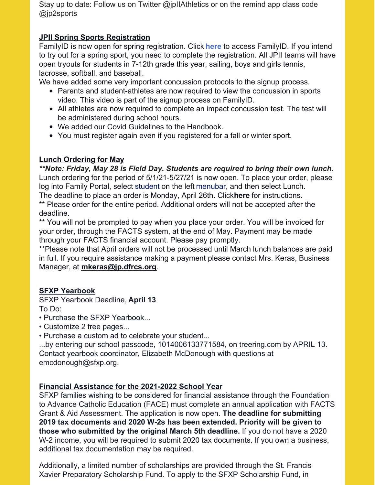Stay up to date: Follow us on Twitter @jpIIAthletics or on the remind app class code @jp2sports

## **JPII Spring Sports Registration**

FamilyID is now open for spring registration. Click **[here](https://www.familyid.com/saint-john-paul-ii-high-schoo)** to access FamilyID. If you intend to try out for a spring sport, you need to complete the registration. All JPII teams will have open tryouts for students in 7-12th grade this year, sailing, boys and girls tennis, lacrosse, softball, and baseball.

We have added some very important concussion protocols to the signup process.

- Parents and student-athletes are now required to view the concussion in sports video. This video is part of the signup process on FamilyID.
- All athletes are now required to complete an impact concussion test. The test will be administered during school hours.
- We added our Covid Guidelines to the Handbook.
- You must register again even if you registered for a fall or winter sport.

# **Lunch Ordering for May**

*\*\*Note: Friday, May 28 is Field Day. Students are required to bring their own lunch.* Lunch ordering for the period of 5/1/21-5/27/21 is now open. To place your order, please log into Family Portal, select student on the left menubar, and then select Lunch. The deadline to place an order is Monday, April 26th. Click**[here](http://r20.rs6.net/tn.jsp?f=001ktpH_NUtE_vnLfTLghfZeLtWmANgjn_4u5FhpqBtV_i3B_TKDEq0L_Z1Pr2zZGo1VMvrAKxutTkzZbOr6uC1Hog7OwUdAVD6ucTsgU4E-d-yNJgv2m8ch2CSeN7EsNaWZ7We5vsJj7v7mPT6yc7g3R4Evm9IdZz4vvhEJFPCNg6BXr8tDk8RazTOtrJWA4MXCxTWEKYQR-TiTz_JaAmYRX31QMFLMCLxQlIpj4Mq9rmioIueNAmb7Q==&c=XmMDG2LuQd4PX5Af7-6JxEZPPZGuFfR0DEyME-1FrBZVoan6DhPzfw==&ch=HXinK0McgkKg7FYbfeQfrQUYssqSPBriY-bJosG55JjKbBAu2IgRFg==)** for instructions. \*\* Please order for the entire period. Additional orders will not be accepted after the deadline.

\*\* You will not be prompted to pay when you place your order. You will be invoiced for your order, through the FACTS system, at the end of May. Payment may be made through your FACTS financial account. Please pay promptly.

\*\*Please note that April orders will not be processed until March lunch balances are paid in full. If you require assistance making a payment please contact Mrs. Keras, Business Manager, at **[mkeras@jp.dfrcs.org](mailto:mkeras@jp.dfrcs.org)**.

# **SFXP Yearbook**

SFXP Yearbook Deadline, **April 13** To Do:

- Purchase the SFXP Yearbook...
- Customize 2 free pages...
- Purchase a custom ad to celebrate your student...

...by entering our school passcode, 1014006133771584, on treering.com by APRIL 13. Contact yearbook coordinator, Elizabeth McDonough with questions at emcdonough@sfxp.org.

# **Financial Assistance for the 2021-2022 School Year**

SFXP families wishing to be considered for financial assistance through the Foundation to Advance Catholic Education (FACE) must complete an annual application with FACTS Grant & Aid Assessment. The application is now open. **The deadline for submitting 2019 tax documents and 2020 W-2s has been extended. Priority will be given to those who submitted by the original March 5th deadline.** If you do not have a 2020 W-2 income, you will be required to submit 2020 tax documents. If you own a business, additional tax documentation may be required.

Additionally, a limited number of scholarships are provided through the St. Francis Xavier Preparatory Scholarship Fund. To apply to the SFXP Scholarship Fund, in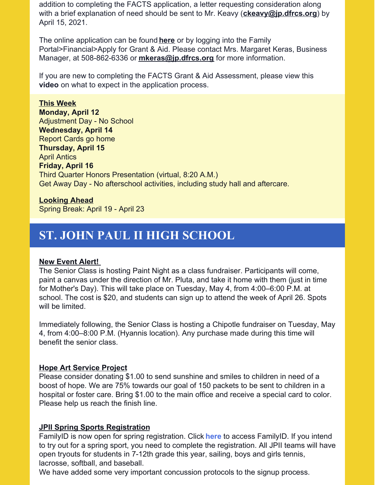addition to completing the FACTS application, a letter requesting consideration along with a brief explanation of need should be sent to Mr. Keavy (**[ckeavy@jp.dfrcs.org](mailto:ckeavy@jp.dfrcs.org)**) by April 15, 2021.

The online application can be found **[here](https://online.factsmgt.com/aid)** or by logging into the Family Portal>Financial>Apply for Grant & Aid. Please contact Mrs. Margaret Keras, Business Manager, at 508-862-6336 or **[mkeras@jp.dfrcs.org](mailto:mkeras@jp.dfrcs.org)** for more information.

If you are new to completing the FACTS Grant & Aid Assessment, please view this **[video](https://vimeo.com/305584471)** on what to expect in the application process.

**This Week Monday, April 12** Adjustment Day - No School **Wednesday, April 14** Report Cards go home **Thursday, April 15** April Antics **Friday, April 16** Third Quarter Honors Presentation (virtual, 8:20 A.M.) Get Away Day - No afterschool activities, including study hall and aftercare.

# **Looking Ahead**

Spring Break: April 19 - April 23

# **ST. JOHN PAUL II HIGH SCHOOL**

#### **New Event Alert!**

The Senior Class is hosting Paint Night as a class fundraiser. Participants will come, paint a canvas under the direction of Mr. Pluta, and take it home with them (just in time for Mother's Day). This will take place on Tuesday, May 4, from 4:00–6:00 P.M. at school. The cost is \$20, and students can sign up to attend the week of April 26. Spots will be limited.

Immediately following, the Senior Class is hosting a Chipotle fundraiser on Tuesday, May 4, from 4:00–8:00 P.M. (Hyannis location). Any purchase made during this time will benefit the senior class.

## **Hope Art Service Project**

Please consider donating \$1.00 to send sunshine and smiles to children in need of a boost of hope. We are 75% towards our goal of 150 packets to be sent to children in a hospital or foster care. Bring \$1.00 to the main office and receive a special card to color. Please help us reach the finish line.

## **JPII Spring Sports Registration**

FamilyID is now open for spring registration. Click **[here](https://www.familyid.com/saint-john-paul-ii-high-schoo)** to access FamilyID. If you intend to try out for a spring sport, you need to complete the registration. All JPII teams will have open tryouts for students in 7-12th grade this year, sailing, boys and girls tennis, lacrosse, softball, and baseball.

We have added some very important concussion protocols to the signup process.